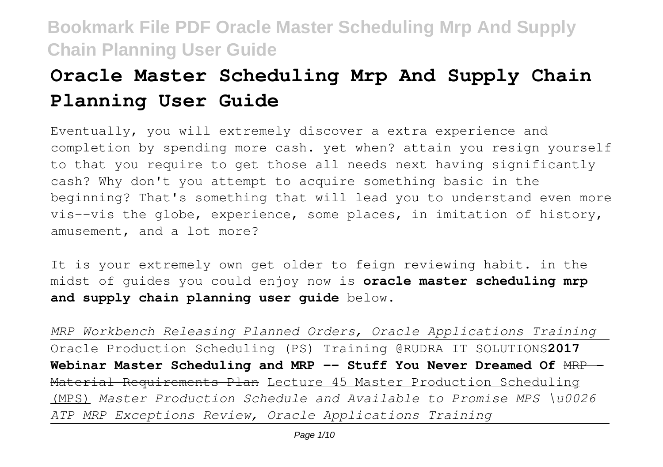# **Oracle Master Scheduling Mrp And Supply Chain Planning User Guide**

Eventually, you will extremely discover a extra experience and completion by spending more cash. yet when? attain you resign yourself to that you require to get those all needs next having significantly cash? Why don't you attempt to acquire something basic in the beginning? That's something that will lead you to understand even more vis--vis the globe, experience, some places, in imitation of history, amusement, and a lot more?

It is your extremely own get older to feign reviewing habit. in the midst of guides you could enjoy now is **oracle master scheduling mrp and supply chain planning user guide** below.

*MRP Workbench Releasing Planned Orders, Oracle Applications Training* Oracle Production Scheduling (PS) Training @RUDRA IT SOLUTIONS**2017** Webinar Master Scheduling and MRP -- Stuff You Never Dreamed Of  $HRP-$ Material Requirements Plan Lecture 45 Master Production Scheduling (MPS) *Master Production Schedule and Available to Promise MPS \u0026 ATP MRP Exceptions Review, Oracle Applications Training*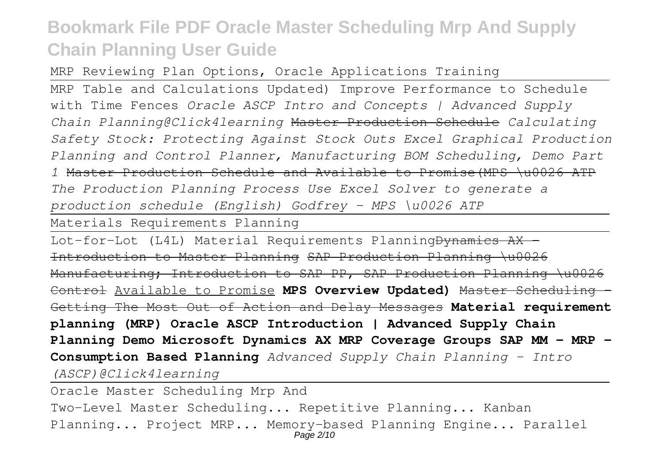MRP Reviewing Plan Options, Oracle Applications Training

MRP Table and Calculations Updated) Improve Performance to Schedule with Time Fences *Oracle ASCP Intro and Concepts | Advanced Supply Chain Planning@Click4learning* Master Production Schedule *Calculating Safety Stock: Protecting Against Stock Outs Excel Graphical Production Planning and Control Planner, Manufacturing BOM Scheduling, Demo Part 1* Master Production Schedule and Available to Promise(MPS \u0026 ATP *The Production Planning Process Use Excel Solver to generate a production schedule (English) Godfrey - MPS \u0026 ATP*

Materials Requirements Planning

Lot-for-Lot (L4L) Material Requirements Planning<del>Dynamics AX</del> Introduction to Master Planning SAP Production Planning \u0026 Manufacturing; Introduction to SAP PP, SAP Production Planning \u0026 Control Available to Promise **MPS Overview Updated)** Master Scheduling – Getting The Most Out of Action and Delay Messages **Material requirement planning (MRP) Oracle ASCP Introduction | Advanced Supply Chain Planning Demo Microsoft Dynamics AX MRP Coverage Groups SAP MM - MRP - Consumption Based Planning** *Advanced Supply Chain Planning - Intro (ASCP)@Click4learning*

Oracle Master Scheduling Mrp And Two-Level Master Scheduling... Repetitive Planning... Kanban Planning... Project MRP... Memory-based Planning Engine... Parallel Page 2/10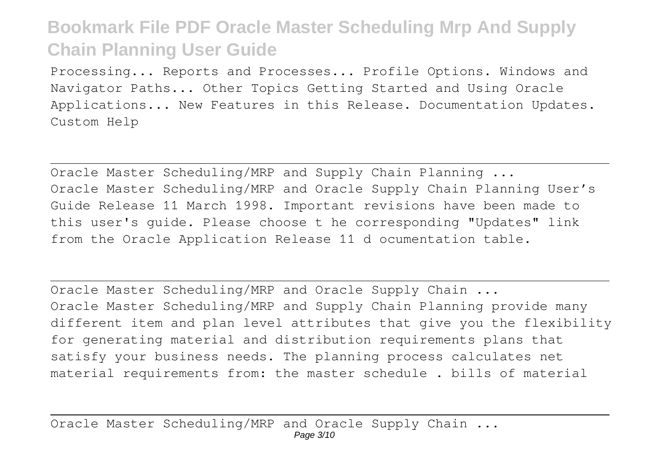Processing... Reports and Processes... Profile Options. Windows and Navigator Paths... Other Topics Getting Started and Using Oracle Applications... New Features in this Release. Documentation Updates. Custom Help

Oracle Master Scheduling/MRP and Supply Chain Planning ... Oracle Master Scheduling/MRP and Oracle Supply Chain Planning User's Guide Release 11 March 1998. Important revisions have been made to this user's guide. Please choose t he corresponding "Updates" link from the Oracle Application Release 11 d ocumentation table.

Oracle Master Scheduling/MRP and Oracle Supply Chain ... Oracle Master Scheduling/MRP and Supply Chain Planning provide many different item and plan level attributes that give you the flexibility for generating material and distribution requirements plans that satisfy your business needs. The planning process calculates net material requirements from: the master schedule . bills of material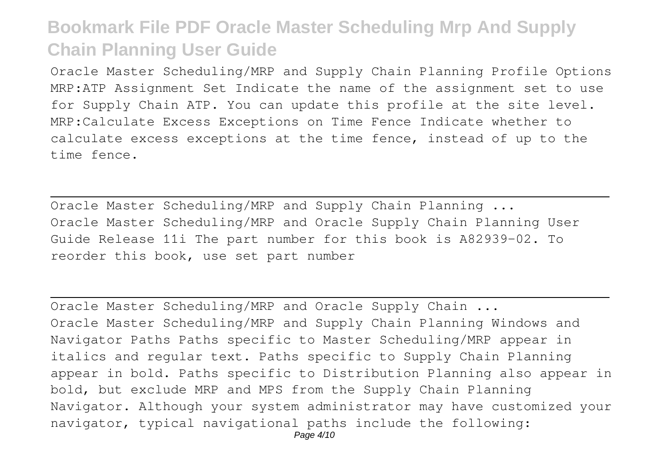Oracle Master Scheduling/MRP and Supply Chain Planning Profile Options MRP:ATP Assignment Set Indicate the name of the assignment set to use for Supply Chain ATP. You can update this profile at the site level. MRP:Calculate Excess Exceptions on Time Fence Indicate whether to calculate excess exceptions at the time fence, instead of up to the time fence.

Oracle Master Scheduling/MRP and Supply Chain Planning ... Oracle Master Scheduling/MRP and Oracle Supply Chain Planning User Guide Release 11i The part number for this book is A82939–02. To reorder this book, use set part number

Oracle Master Scheduling/MRP and Oracle Supply Chain ... Oracle Master Scheduling/MRP and Supply Chain Planning Windows and Navigator Paths Paths specific to Master Scheduling/MRP appear in italics and regular text. Paths specific to Supply Chain Planning appear in bold. Paths specific to Distribution Planning also appear in bold, but exclude MRP and MPS from the Supply Chain Planning Navigator. Although your system administrator may have customized your navigator, typical navigational paths include the following: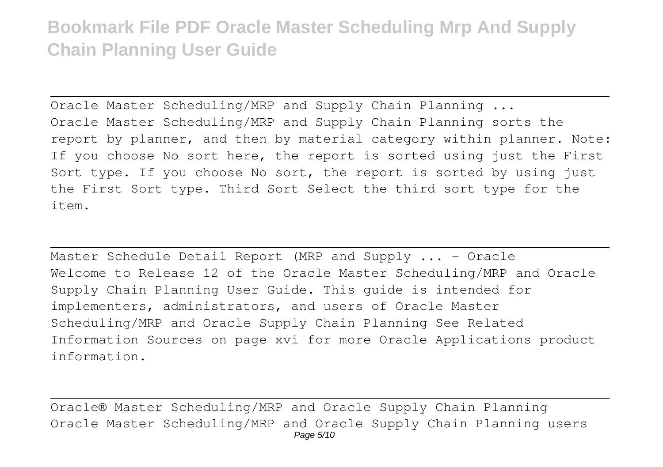Oracle Master Scheduling/MRP and Supply Chain Planning ... Oracle Master Scheduling/MRP and Supply Chain Planning sorts the report by planner, and then by material category within planner. Note: If you choose No sort here, the report is sorted using just the First Sort type. If you choose No sort, the report is sorted by using just the First Sort type. Third Sort Select the third sort type for the item.

Master Schedule Detail Report (MRP and Supply ... - Oracle Welcome to Release 12 of the Oracle Master Scheduling/MRP and Oracle Supply Chain Planning User Guide. This guide is intended for implementers, administrators, and users of Oracle Master Scheduling/MRP and Oracle Supply Chain Planning See Related Information Sources on page xvi for more Oracle Applications product information.

Oracle® Master Scheduling/MRP and Oracle Supply Chain Planning Oracle Master Scheduling/MRP and Oracle Supply Chain Planning users Page 5/10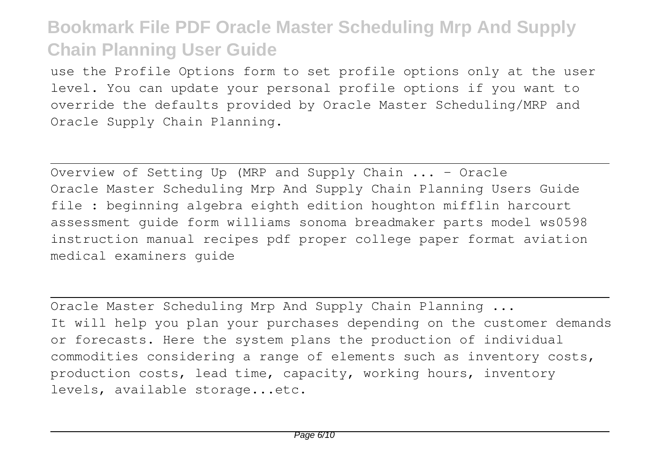use the Profile Options form to set profile options only at the user level. You can update your personal profile options if you want to override the defaults provided by Oracle Master Scheduling/MRP and Oracle Supply Chain Planning.

Overview of Setting Up (MRP and Supply Chain ... - Oracle Oracle Master Scheduling Mrp And Supply Chain Planning Users Guide file : beginning algebra eighth edition houghton mifflin harcourt assessment guide form williams sonoma breadmaker parts model ws0598 instruction manual recipes pdf proper college paper format aviation medical examiners guide

Oracle Master Scheduling Mrp And Supply Chain Planning ... It will help you plan your purchases depending on the customer demands or forecasts. Here the system plans the production of individual commodities considering a range of elements such as inventory costs, production costs, lead time, capacity, working hours, inventory levels, available storage...etc.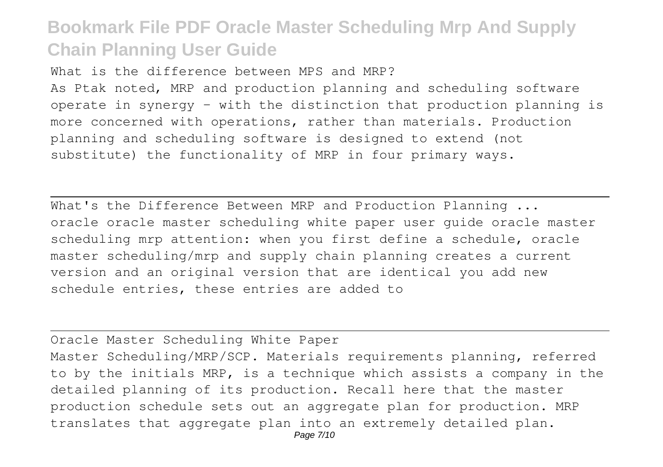What is the difference between MPS and MRP?

As Ptak noted, MRP and production planning and scheduling software operate in synergy – with the distinction that production planning is more concerned with operations, rather than materials. Production planning and scheduling software is designed to extend (not substitute) the functionality of MRP in four primary ways.

What's the Difference Between MRP and Production Planning ... oracle oracle master scheduling white paper user guide oracle master scheduling mrp attention: when you first define a schedule, oracle master scheduling/mrp and supply chain planning creates a current version and an original version that are identical you add new schedule entries, these entries are added to

Oracle Master Scheduling White Paper Master Scheduling/MRP/SCP. Materials requirements planning, referred to by the initials MRP, is a technique which assists a company in the detailed planning of its production. Recall here that the master production schedule sets out an aggregate plan for production. MRP translates that aggregate plan into an extremely detailed plan.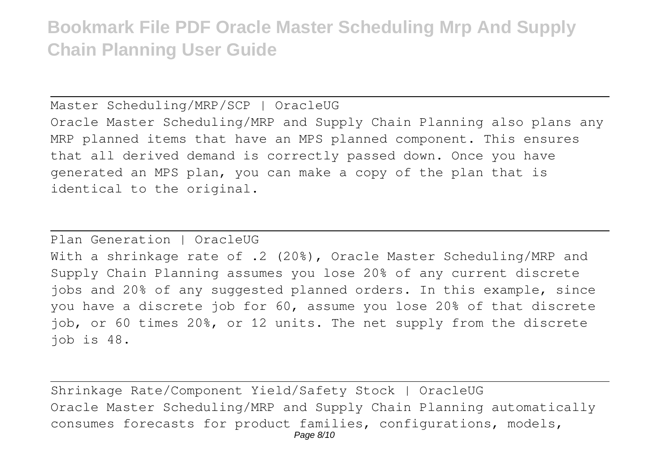Master Scheduling/MRP/SCP | OracleUG Oracle Master Scheduling/MRP and Supply Chain Planning also plans any MRP planned items that have an MPS planned component. This ensures that all derived demand is correctly passed down. Once you have generated an MPS plan, you can make a copy of the plan that is identical to the original.

Plan Generation | OracleUG

With a shrinkage rate of .2 (20%), Oracle Master Scheduling/MRP and Supply Chain Planning assumes you lose 20% of any current discrete jobs and 20% of any suggested planned orders. In this example, since you have a discrete job for 60, assume you lose 20% of that discrete job, or 60 times 20%, or 12 units. The net supply from the discrete job is 48.

Shrinkage Rate/Component Yield/Safety Stock | OracleUG Oracle Master Scheduling/MRP and Supply Chain Planning automatically consumes forecasts for product families, configurations, models, Page 8/10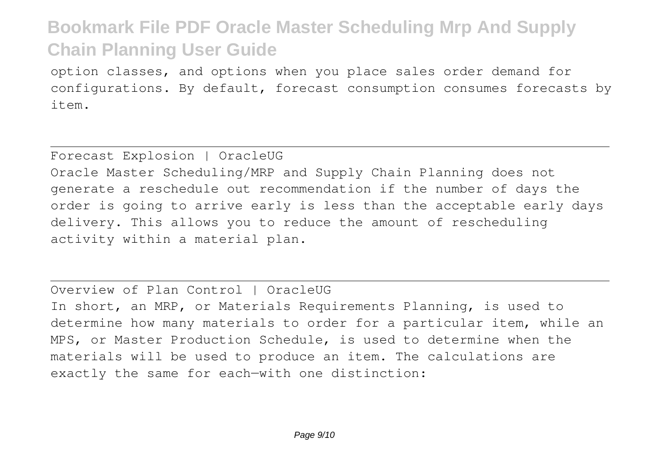option classes, and options when you place sales order demand for configurations. By default, forecast consumption consumes forecasts by item.

#### Forecast Explosion | OracleUG

Oracle Master Scheduling/MRP and Supply Chain Planning does not generate a reschedule out recommendation if the number of days the order is going to arrive early is less than the acceptable early days delivery. This allows you to reduce the amount of rescheduling activity within a material plan.

#### Overview of Plan Control | OracleUG

In short, an MRP, or Materials Requirements Planning, is used to determine how many materials to order for a particular item, while an MPS, or Master Production Schedule, is used to determine when the materials will be used to produce an item. The calculations are exactly the same for each—with one distinction: